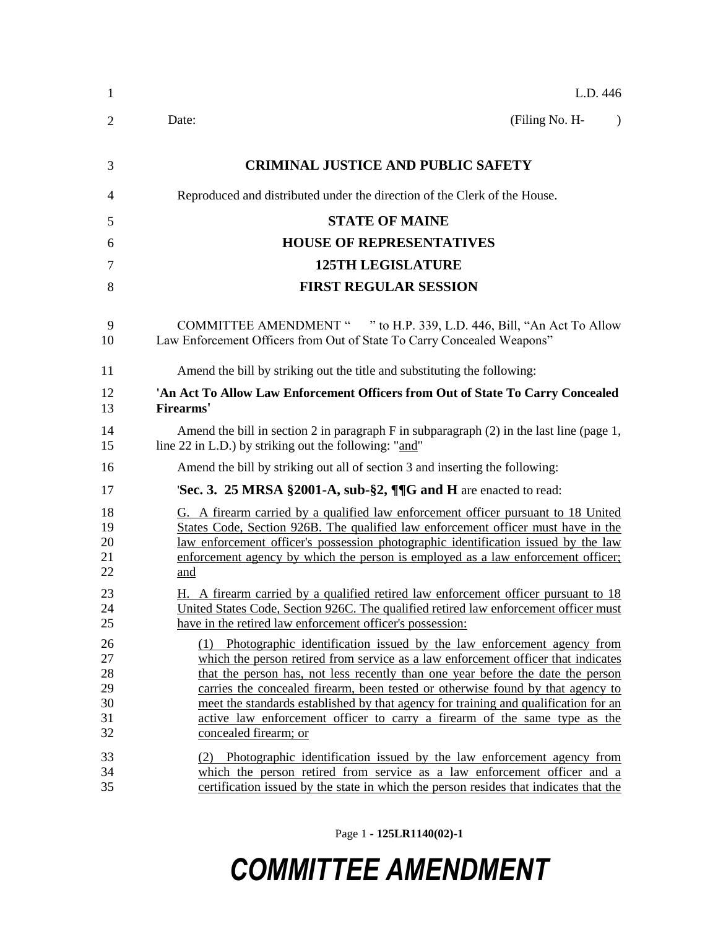| 1                                      | L.D. 446                                                                                                                                                                                                                                                                                                                                                                                                                                                                                                                          |
|----------------------------------------|-----------------------------------------------------------------------------------------------------------------------------------------------------------------------------------------------------------------------------------------------------------------------------------------------------------------------------------------------------------------------------------------------------------------------------------------------------------------------------------------------------------------------------------|
| 2                                      | (Filing No. H-<br>Date:<br>$\lambda$                                                                                                                                                                                                                                                                                                                                                                                                                                                                                              |
| 3                                      | <b>CRIMINAL JUSTICE AND PUBLIC SAFETY</b>                                                                                                                                                                                                                                                                                                                                                                                                                                                                                         |
| 4                                      | Reproduced and distributed under the direction of the Clerk of the House.                                                                                                                                                                                                                                                                                                                                                                                                                                                         |
| 5                                      | <b>STATE OF MAINE</b>                                                                                                                                                                                                                                                                                                                                                                                                                                                                                                             |
| 6                                      | <b>HOUSE OF REPRESENTATIVES</b>                                                                                                                                                                                                                                                                                                                                                                                                                                                                                                   |
| $\tau$                                 | <b>125TH LEGISLATURE</b>                                                                                                                                                                                                                                                                                                                                                                                                                                                                                                          |
| 8                                      | <b>FIRST REGULAR SESSION</b>                                                                                                                                                                                                                                                                                                                                                                                                                                                                                                      |
| 9<br>10                                | COMMITTEE AMENDMENT " " to H.P. 339, L.D. 446, Bill, "An Act To Allow<br>Law Enforcement Officers from Out of State To Carry Concealed Weapons"                                                                                                                                                                                                                                                                                                                                                                                   |
| 11                                     | Amend the bill by striking out the title and substituting the following:                                                                                                                                                                                                                                                                                                                                                                                                                                                          |
| 12<br>13                               | 'An Act To Allow Law Enforcement Officers from Out of State To Carry Concealed<br>Firearms'                                                                                                                                                                                                                                                                                                                                                                                                                                       |
| 14<br>15                               | Amend the bill in section 2 in paragraph $F$ in subparagraph $(2)$ in the last line (page 1,<br>line 22 in L.D.) by striking out the following: "and"                                                                                                                                                                                                                                                                                                                                                                             |
| 16                                     | Amend the bill by striking out all of section 3 and inserting the following:                                                                                                                                                                                                                                                                                                                                                                                                                                                      |
| 17                                     | Sec. 3. 25 MRSA §2001-A, sub-§2, ¶¶G and H are enacted to read:                                                                                                                                                                                                                                                                                                                                                                                                                                                                   |
| 18<br>19<br>20<br>21<br>22             | G. A firearm carried by a qualified law enforcement officer pursuant to 18 United<br>States Code, Section 926B. The qualified law enforcement officer must have in the<br>law enforcement officer's possession photographic identification issued by the law<br>enforcement agency by which the person is employed as a law enforcement officer;<br>and                                                                                                                                                                           |
| 23<br>24<br>25                         | H. A firearm carried by a qualified retired law enforcement officer pursuant to 18<br>United States Code, Section 926C. The qualified retired law enforcement officer must<br>have in the retired law enforcement officer's possession:                                                                                                                                                                                                                                                                                           |
| 26<br>27<br>28<br>29<br>30<br>31<br>32 | (1) Photographic identification issued by the law enforcement agency from<br>which the person retired from service as a law enforcement officer that indicates<br>that the person has, not less recently than one year before the date the person<br>carries the concealed firearm, been tested or otherwise found by that agency to<br>meet the standards established by that agency for training and qualification for an<br>active law enforcement officer to carry a firearm of the same type as the<br>concealed firearm; or |
| 33<br>34<br>35                         | Photographic identification issued by the law enforcement agency from<br>which the person retired from service as a law enforcement officer and a<br>certification issued by the state in which the person resides that indicates that the                                                                                                                                                                                                                                                                                        |

Page 1 **- 125LR1140(02)-1**

## *COMMITTEE AMENDMENT*